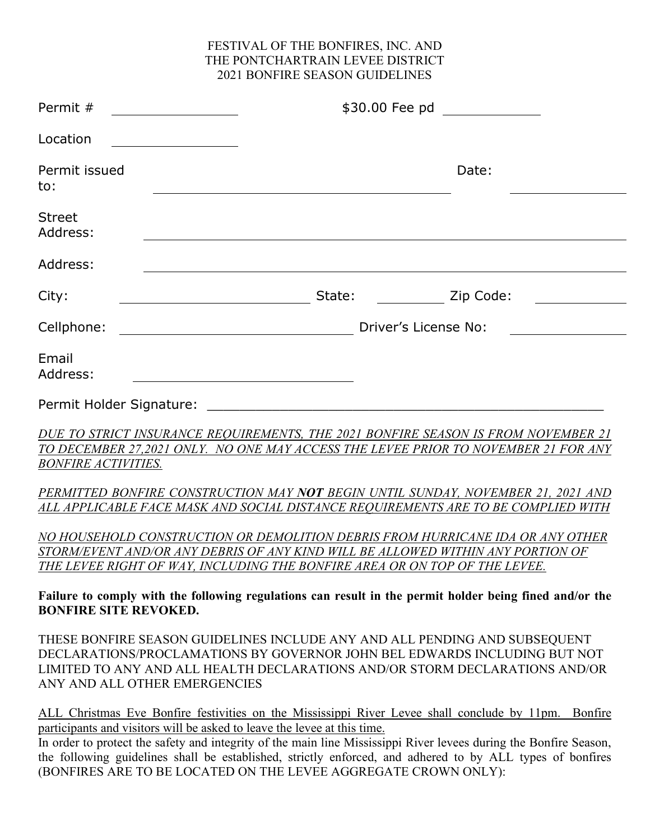#### FESTIVAL OF THE BONFIRES, INC. AND THE PONTCHARTRAIN LEVEE DISTRICT 2021 BONFIRE SEASON GUIDELINES

| Permit #                     | \$30.00 Fee pd                                                                                                                                                                                                                                  |
|------------------------------|-------------------------------------------------------------------------------------------------------------------------------------------------------------------------------------------------------------------------------------------------|
| Location                     |                                                                                                                                                                                                                                                 |
| Permit issued<br>to:         | Date:                                                                                                                                                                                                                                           |
| <b>Street</b><br>Address:    |                                                                                                                                                                                                                                                 |
| Address:                     |                                                                                                                                                                                                                                                 |
| City:                        | State:<br>Zip Code:                                                                                                                                                                                                                             |
| Cellphone:                   | Driver's License No:                                                                                                                                                                                                                            |
| Email<br>Address:            |                                                                                                                                                                                                                                                 |
| Permit Holder Signature:     | <u> 1980 - Jan James James James James James James James James James James James James James James James James J</u>                                                                                                                            |
| <b>BONFIRE ACTIVITIES.</b>   | DUE TO STRICT INSURANCE REQUIREMENTS, THE 2021 BONFIRE SEASON IS FROM NOVEMBER 21<br>TO DECEMBER 27,2021 ONLY. NO ONE MAY ACCESS THE LEVEE PRIOR TO NOVEMBER 21 FOR ANY                                                                         |
|                              | PERMITTED BONFIRE CONSTRUCTION MAY NOT BEGIN UNTIL SUNDAY, NOVEMBER 21, 2021 AND<br>ALL APPLICABLE FACE MASK AND SOCIAL DISTANCE REQUIREMENTS ARE TO BE COMPLIED WITH                                                                           |
|                              | NO HOUSEHOLD CONSTRUCTION OR DEMOLITION DEBRIS FROM HURRICANE IDA OR ANY OTHER<br>STORM/EVENT AND/OR ANY DEBRIS OF ANY KIND WILL BE ALLOWED WITHIN ANY PORTION OF<br>THE LEVEE RIGHT OF WAY, INCLUDING THE BONFIRE AREA OR ON TOP OF THE LEVEE. |
| <b>BONFIRE SITE REVOKED.</b> | Failure to comply with the following regulations can result in the permit holder being fined and/or the                                                                                                                                         |
|                              | THESE BONFIRE SEASON GUIDELINES INCLUDE ANY AND ALL PENDING AND SUBSEQUENT<br>DECLARATIONS/PROCLAMATIONS BY GOVERNOR JOHN BEL EDWARDS INCLUDING BUT NOT<br>LIMITED TO ANY AND ALL HEALTH DECLARATIONS AND/OR STORM DECLARATIONS AND/OR          |

ALL Christmas Eve Bonfire festivities on the Mississippi River Levee shall conclude by 11pm. Bonfire participants and visitors will be asked to leave the levee at this time.

ANY AND ALL OTHER EMERGENCIES

In order to protect the safety and integrity of the main line Mississippi River levees during the Bonfire Season, the following guidelines shall be established, strictly enforced, and adhered to by ALL types of bonfires (BONFIRES ARE TO BE LOCATED ON THE LEVEE AGGREGATE CROWN ONLY):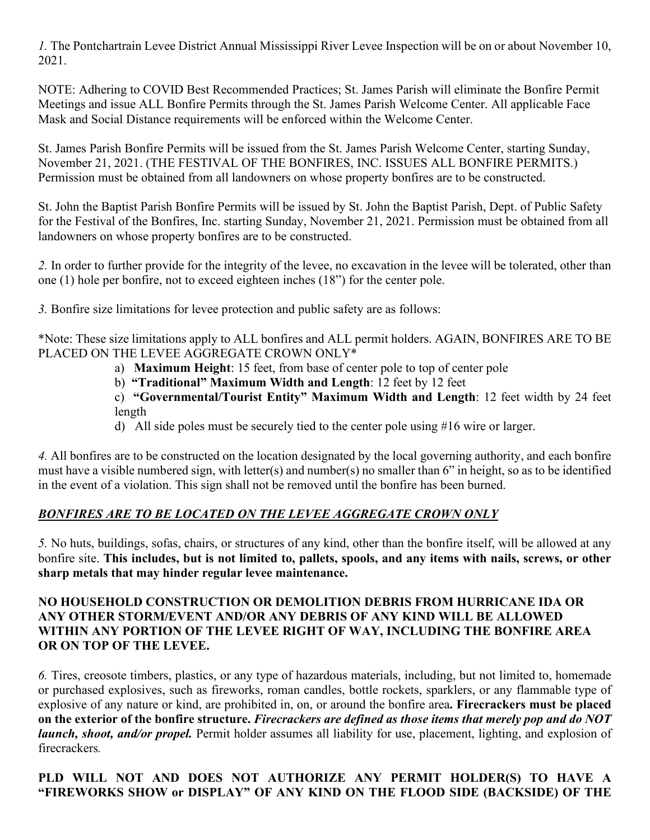*1.* The Pontchartrain Levee District Annual Mississippi River Levee Inspection will be on or about November 10, 2021.

NOTE: Adhering to COVID Best Recommended Practices; St. James Parish will eliminate the Bonfire Permit Meetings and issue ALL Bonfire Permits through the St. James Parish Welcome Center. All applicable Face Mask and Social Distance requirements will be enforced within the Welcome Center.

St. James Parish Bonfire Permits will be issued from the St. James Parish Welcome Center, starting Sunday, November 21, 2021. (THE FESTIVAL OF THE BONFIRES, INC. ISSUES ALL BONFIRE PERMITS.) Permission must be obtained from all landowners on whose property bonfires are to be constructed.

St. John the Baptist Parish Bonfire Permits will be issued by St. John the Baptist Parish, Dept. of Public Safety for the Festival of the Bonfires, Inc. starting Sunday, November 21, 2021. Permission must be obtained from all landowners on whose property bonfires are to be constructed.

*2.* In order to further provide for the integrity of the levee, no excavation in the levee will be tolerated, other than one (1) hole per bonfire, not to exceed eighteen inches (18") for the center pole.

*3.* Bonfire size limitations for levee protection and public safety are as follows:

\*Note: These size limitations apply to ALL bonfires and ALL permit holders. AGAIN, BONFIRES ARE TO BE PLACED ON THE LEVEE AGGREGATE CROWN ONLY\*

a) **Maximum Height**: 15 feet, from base of center pole to top of center pole

b) **"Traditional" Maximum Width and Length**: 12 feet by 12 feet

c) **"Governmental/Tourist Entity" Maximum Width and Length**: 12 feet width by 24 feet length

d) All side poles must be securely tied to the center pole using #16 wire or larger.

*4.* All bonfires are to be constructed on the location designated by the local governing authority, and each bonfire must have a visible numbered sign, with letter(s) and number(s) no smaller than 6" in height, so as to be identified in the event of a violation. This sign shall not be removed until the bonfire has been burned.

## *BONFIRES ARE TO BE LOCATED ON THE LEVEE AGGREGATE CROWN ONLY*

*5.* No huts, buildings, sofas, chairs, or structures of any kind, other than the bonfire itself, will be allowed at any bonfire site. **This includes, but is not limited to, pallets, spools, and any items with nails, screws, or other sharp metals that may hinder regular levee maintenance.**

#### **NO HOUSEHOLD CONSTRUCTION OR DEMOLITION DEBRIS FROM HURRICANE IDA OR ANY OTHER STORM/EVENT AND/OR ANY DEBRIS OF ANY KIND WILL BE ALLOWED WITHIN ANY PORTION OF THE LEVEE RIGHT OF WAY, INCLUDING THE BONFIRE AREA OR ON TOP OF THE LEVEE.**

*6.* Tires, creosote timbers, plastics, or any type of hazardous materials, including, but not limited to, homemade or purchased explosives, such as fireworks, roman candles, bottle rockets, sparklers, or any flammable type of explosive of any nature or kind, are prohibited in, on, or around the bonfire area**. Firecrackers must be placed on the exterior of the bonfire structure.** *Firecrackers are defined as those items that merely pop and do NOT launch, shoot, and/or propel.* Permit holder assumes all liability for use, placement, lighting, and explosion of firecrackers*.*

## **PLD WILL NOT AND DOES NOT AUTHORIZE ANY PERMIT HOLDER(S) TO HAVE A "FIREWORKS SHOW or DISPLAY" OF ANY KIND ON THE FLOOD SIDE (BACKSIDE) OF THE**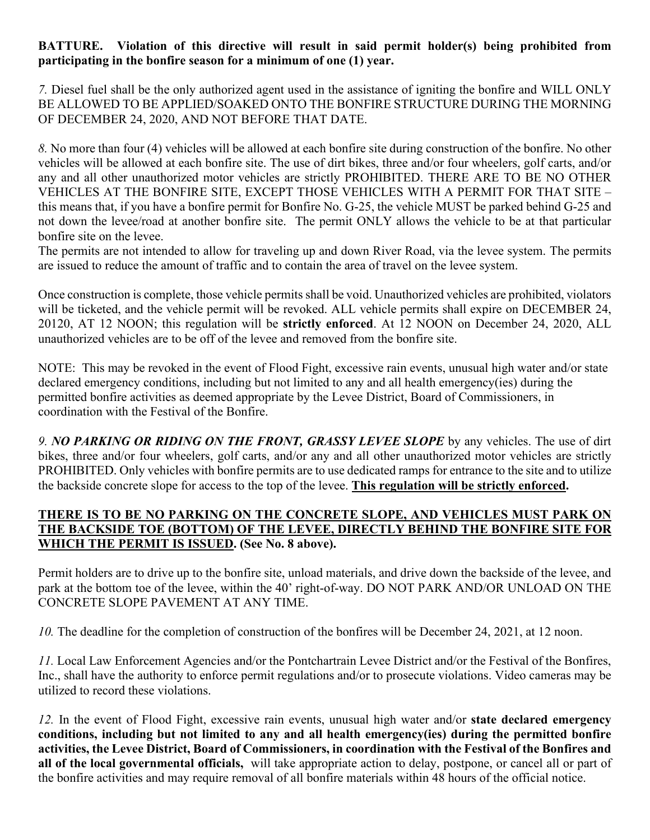### **BATTURE. Violation of this directive will result in said permit holder(s) being prohibited from participating in the bonfire season for a minimum of one (1) year.**

*7.* Diesel fuel shall be the only authorized agent used in the assistance of igniting the bonfire and WILL ONLY BE ALLOWED TO BE APPLIED/SOAKED ONTO THE BONFIRE STRUCTURE DURING THE MORNING OF DECEMBER 24, 2020, AND NOT BEFORE THAT DATE.

*8.* No more than four (4) vehicles will be allowed at each bonfire site during construction of the bonfire. No other vehicles will be allowed at each bonfire site. The use of dirt bikes, three and/or four wheelers, golf carts, and/or any and all other unauthorized motor vehicles are strictly PROHIBITED. THERE ARE TO BE NO OTHER VEHICLES AT THE BONFIRE SITE, EXCEPT THOSE VEHICLES WITH A PERMIT FOR THAT SITE – this means that, if you have a bonfire permit for Bonfire No. G-25, the vehicle MUST be parked behind G-25 and not down the levee/road at another bonfire site. The permit ONLY allows the vehicle to be at that particular bonfire site on the levee.

The permits are not intended to allow for traveling up and down River Road, via the levee system. The permits are issued to reduce the amount of traffic and to contain the area of travel on the levee system.

Once construction is complete, those vehicle permits shall be void. Unauthorized vehicles are prohibited, violators will be ticketed, and the vehicle permit will be revoked. ALL vehicle permits shall expire on DECEMBER 24, 20120, AT 12 NOON; this regulation will be **strictly enforced**. At 12 NOON on December 24, 2020, ALL unauthorized vehicles are to be off of the levee and removed from the bonfire site.

NOTE: This may be revoked in the event of Flood Fight, excessive rain events, unusual high water and/or state declared emergency conditions, including but not limited to any and all health emergency(ies) during the permitted bonfire activities as deemed appropriate by the Levee District, Board of Commissioners, in coordination with the Festival of the Bonfire.

9. NO PARKING OR RIDING ON THE FRONT, GRASSY LEVEE SLOPE by any vehicles. The use of dirt bikes, three and/or four wheelers, golf carts, and/or any and all other unauthorized motor vehicles are strictly PROHIBITED. Only vehicles with bonfire permits are to use dedicated ramps for entrance to the site and to utilize the backside concrete slope for access to the top of the levee. **This regulation will be strictly enforced.**

### **THERE IS TO BE NO PARKING ON THE CONCRETE SLOPE, AND VEHICLES MUST PARK ON THE BACKSIDE TOE (BOTTOM) OF THE LEVEE, DIRECTLY BEHIND THE BONFIRE SITE FOR WHICH THE PERMIT IS ISSUED. (See No. 8 above).**

Permit holders are to drive up to the bonfire site, unload materials, and drive down the backside of the levee, and park at the bottom toe of the levee, within the 40' right-of-way. DO NOT PARK AND/OR UNLOAD ON THE CONCRETE SLOPE PAVEMENT AT ANY TIME.

*10.* The deadline for the completion of construction of the bonfires will be December 24, 2021, at 12 noon.

*11.* Local Law Enforcement Agencies and/or the Pontchartrain Levee District and/or the Festival of the Bonfires, Inc., shall have the authority to enforce permit regulations and/or to prosecute violations. Video cameras may be utilized to record these violations.

*12.* In the event of Flood Fight, excessive rain events, unusual high water and/or **state declared emergency conditions, including but not limited to any and all health emergency(ies) during the permitted bonfire activities, the Levee District, Board of Commissioners, in coordination with the Festival of the Bonfires and all of the local governmental officials,** will take appropriate action to delay, postpone, or cancel all or part of the bonfire activities and may require removal of all bonfire materials within 48 hours of the official notice.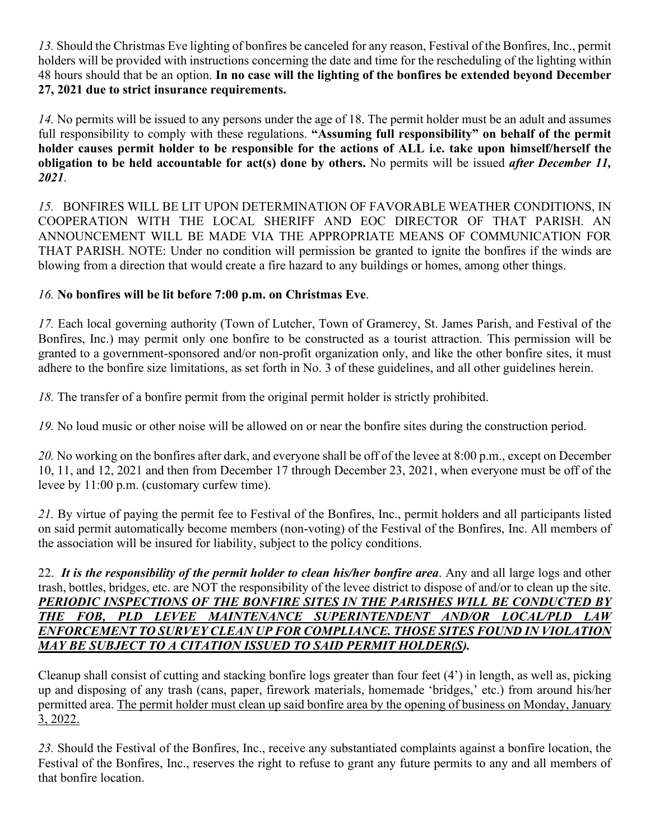*13.* Should the Christmas Eve lighting of bonfires be canceled for any reason, Festival of the Bonfires, Inc., permit holders will be provided with instructions concerning the date and time for the rescheduling of the lighting within 48 hours should that be an option. **In no case will the lighting of the bonfires be extended beyond December 27, 2021 due to strict insurance requirements.**

*14.* No permits will be issued to any persons under the age of 18. The permit holder must be an adult and assumes full responsibility to comply with these regulations. **"Assuming full responsibility" on behalf of the permit holder causes permit holder to be responsible for the actions of ALL i.e. take upon himself/herself the obligation to be held accountable for act(s) done by others.** No permits will be issued *after December 11, 2021*.

*15.* BONFIRES WILL BE LIT UPON DETERMINATION OF FAVORABLE WEATHER CONDITIONS, IN COOPERATION WITH THE LOCAL SHERIFF AND EOC DIRECTOR OF THAT PARISH. AN ANNOUNCEMENT WILL BE MADE VIA THE APPROPRIATE MEANS OF COMMUNICATION FOR THAT PARISH. NOTE: Under no condition will permission be granted to ignite the bonfires if the winds are blowing from a direction that would create a fire hazard to any buildings or homes, among other things.

## *16.* **No bonfires will be lit before 7:00 p.m. on Christmas Eve**.

*17.* Each local governing authority (Town of Lutcher, Town of Gramercy, St. James Parish, and Festival of the Bonfires, Inc.) may permit only one bonfire to be constructed as a tourist attraction. This permission will be granted to a government-sponsored and/or non-profit organization only, and like the other bonfire sites, it must adhere to the bonfire size limitations, as set forth in No. 3 of these guidelines, and all other guidelines herein.

*18.* The transfer of a bonfire permit from the original permit holder is strictly prohibited.

*19.* No loud music or other noise will be allowed on or near the bonfire sites during the construction period.

*20.* No working on the bonfires after dark, and everyone shall be off of the levee at 8:00 p.m., except on December 10, 11, and 12, 2021 and then from December 17 through December 23, 2021, when everyone must be off of the levee by 11:00 p.m. (customary curfew time).

*21.* By virtue of paying the permit fee to Festival of the Bonfires, Inc., permit holders and all participants listed on said permit automatically become members (non-voting) of the Festival of the Bonfires, Inc. All members of the association will be insured for liability, subject to the policy conditions.

22. *It is the responsibility of the permit holder to clean his/her bonfire area*. Any and all large logs and other trash, bottles, bridges, etc. are NOT the responsibility of the levee district to dispose of and/or to clean up the site. PERIODIC INSPECTIONS OF THE BONFIRE SITES IN THE PARISHES WILL BE CONDUCTED BY *THE FOB, PLD LEVEE MAINTENANCE SUPERINTENDENT AND/OR LOCAL/PLD LAW ENFORCEMENT TO SURVEY CLEAN UP FOR COMPLIANCE. THOSE SITES FOUND IN VIOLATION MAY BE SUBJECT TO A CITATION ISSUED TO SAID PERMIT HOLDER(S).*

Cleanup shall consist of cutting and stacking bonfire logs greater than four feet (4') in length, as well as, picking up and disposing of any trash (cans, paper, firework materials, homemade 'bridges,' etc.) from around his/her permitted area. The permit holder must clean up said bonfire area by the opening of business on Monday, January 3, 2022.

*23.* Should the Festival of the Bonfires, Inc., receive any substantiated complaints against a bonfire location, the Festival of the Bonfires, Inc., reserves the right to refuse to grant any future permits to any and all members of that bonfire location.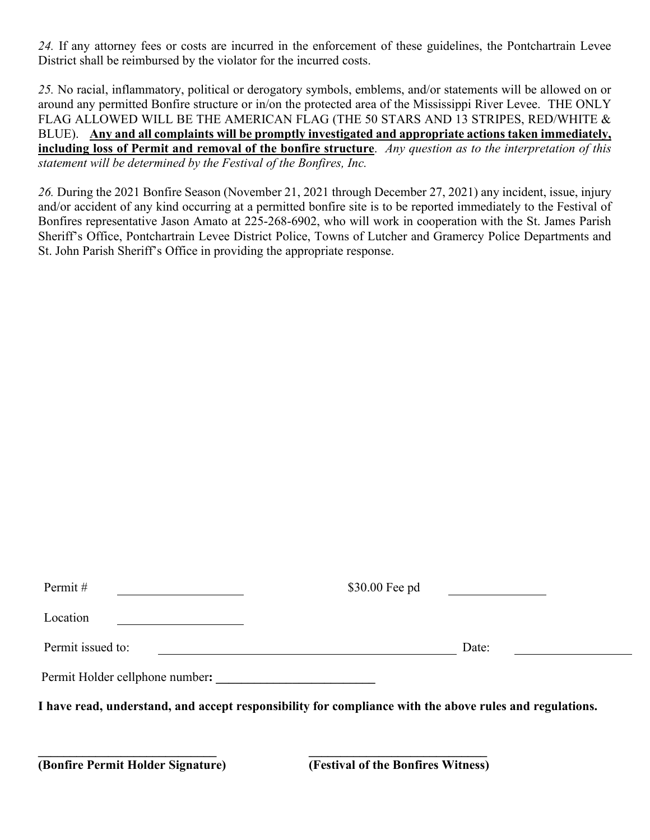*24.* If any attorney fees or costs are incurred in the enforcement of these guidelines, the Pontchartrain Levee District shall be reimbursed by the violator for the incurred costs.

*25.* No racial, inflammatory, political or derogatory symbols, emblems, and/or statements will be allowed on or around any permitted Bonfire structure or in/on the protected area of the Mississippi River Levee. THE ONLY FLAG ALLOWED WILL BE THE AMERICAN FLAG (THE 50 STARS AND 13 STRIPES, RED/WHITE & BLUE). **Any and all complaints will be promptly investigated and appropriate actions taken immediately, including loss of Permit and removal of the bonfire structure**. *Any question as to the interpretation of this statement will be determined by the Festival of the Bonfires, Inc.*

*26.* During the 2021 Bonfire Season (November 21, 2021 through December 27, 2021) any incident, issue, injury and/or accident of any kind occurring at a permitted bonfire site is to be reported immediately to the Festival of Bonfires representative Jason Amato at 225-268-6902, who will work in cooperation with the St. James Parish Sheriff's Office, Pontchartrain Levee District Police, Towns of Lutcher and Gramercy Police Departments and St. John Parish Sheriff's Office in providing the appropriate response.

| Permit#                         | \$30.00 Fee pd                                                                                          |
|---------------------------------|---------------------------------------------------------------------------------------------------------|
| Location                        |                                                                                                         |
| Permit issued to:               | Date:                                                                                                   |
| Permit Holder cellphone number: |                                                                                                         |
|                                 | I have read, understand, and accept responsibility for compliance with the above rules and regulations. |
|                                 |                                                                                                         |
|                                 |                                                                                                         |

**(Bonfire Permit Holder Signature) (Festival of the Bonfires Witness)**